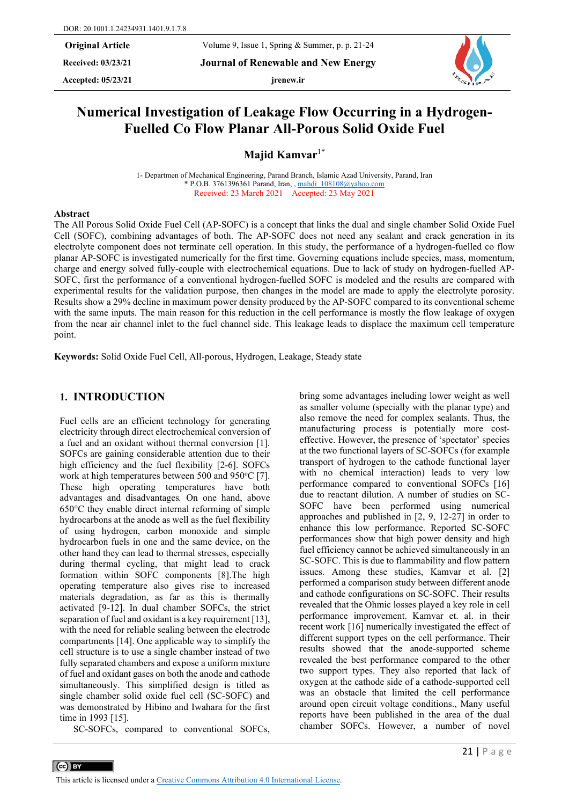**Received: 03/23/21 Journal of Renewable and New Energy**

Accepted:  $05/23/21$  **jrenew.ir** 



# **Numerical Investigation of Leakage Flow Occurring in a Hydrogen-Fuelled Co Flow Planar All-Porous Solid Oxide Fuel**

**Majid Kamvar**1\*

1- Departmen of Mechanical Engineering, Parand Branch, Islamic Azad University, Parand, Iran \* P.O.B. 3761396361 Parand, Iran, [, mahdi\\_108108@yahoo.com](mailto:mahdi_108108@yahoo.com) Received: 23 March 2021 Accepted: 23 May 2021

#### **Abstract**

The All Porous Solid Oxide Fuel Cell (AP-SOFC) is a concept that links the dual and single chamber Solid Oxide Fuel Cell (SOFC), combining advantages of both. The AP-SOFC does not need any sealant and crack generation in its electrolyte component does not terminate cell operation. In this study, the performance of a hydrogen-fuelled co flow planar AP-SOFC is investigated numerically for the first time. Governing equations include species, mass, momentum, charge and energy solved fully-couple with electrochemical equations. Due to lack of study on hydrogen-fuelled AP-SOFC, first the performance of a conventional hydrogen-fuelled SOFC is modeled and the results are compared with experimental results for the validation purpose, then changes in the model are made to apply the electrolyte porosity. Results show a 29% decline in maximum power density produced by the AP-SOFC compared to its conventional scheme with the same inputs. The main reason for this reduction in the cell performance is mostly the flow leakage of oxygen from the near air channel inlet to the fuel channel side. This leakage leads to displace the maximum cell temperature point.

**Keywords:** Solid Oxide Fuel Cell, All-porous, Hydrogen, Leakage, Steady state

#### **1. INTRODUCTION**

Fuel cells are an efficient technology for generating electricity through direct electrochemical conversion of a fuel and an oxidant without thermal conversion [1]. SOFCs are gaining considerable attention due to their high efficiency and the fuel flexibility [2-6]. SOFCs work at high temperatures between  $500$  and  $950^{\circ}$ C [7]. These high operating temperatures have both advantages and disadvantages*.* On one hand, above 650°C they enable direct internal reforming of simple hydrocarbons at the anode as well as the fuel flexibility of using hydrogen, carbon monoxide and simple hydrocarbon fuels in one and the same device, on the other hand they can lead to thermal stresses, especially during thermal cycling, that might lead to crack formation within SOFC components [8].The high operating temperature also gives rise to increased materials degradation, as far as this is thermally activated [9-12]. In dual chamber SOFCs, the strict separation of fuel and oxidant is a key requirement [13], with the need for reliable sealing between the electrode compartments [14]. One applicable way to simplify the cell structure is to use a single chamber instead of two fully separated chambers and expose a uniform mixture of fuel and oxidant gases on both the anode and cathode simultaneously. This simplified design is titled as single chamber solid oxide fuel cell (SC-SOFC) and was demonstrated by Hibino and Iwahara for the first time in 1993 [15].

SC-SOFCs, compared to conventional SOFCs,

 $\left(\text{cc}\right)$  BY

bring some advantages including lower weight as well as smaller volume (specially with the planar type) and also remove the need for complex sealants. Thus, the manufacturing process is potentially more costeffective. However, the presence of 'spectator' species at the two functional layers of SC-SOFCs (for example transport of hydrogen to the cathode functional layer with no chemical interaction) leads to very low performance compared to conventional SOFCs [16] due to reactant dilution. A number of studies on SC-SOFC have been performed using numerical approaches and published in [2, 9, 12-27] in order to enhance this low performance. Reported SC-SOFC performances show that high power density and high fuel efficiency cannot be achieved simultaneously in an SC-SOFC. This is due to flammability and flow pattern issues. Among these studies, Kamvar et al. [2] performed a comparison study between different anode and cathode configurations on SC-SOFC. Their results revealed that the Ohmic losses played a key role in cell performance improvement. Kamvar et. al. in their recent work [16] numerically investigated the effect of different support types on the cell performance. Their results showed that the anode-supported scheme revealed the best performance compared to the other two support types. They also reported that lack of oxygen at the cathode side of a cathode-supported cell was an obstacle that limited the cell performance around open circuit voltage conditions., Many useful reports have been published in the area of the dual chamber SOFCs. However, a number of novel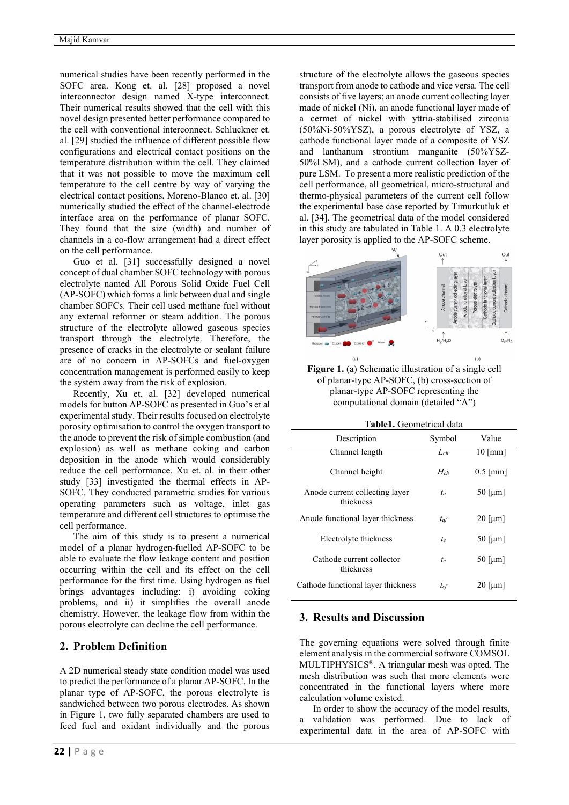numerical studies have been recently performed in the SOFC area. Kong et. al. [28] proposed a novel interconnector design named X-type interconnect. Their numerical results showed that the cell with this novel design presented better performance compared to the cell with conventional interconnect. Schluckner et. al. [29] studied the influence of different possible flow configurations and electrical contact positions on the temperature distribution within the cell. They claimed that it was not possible to move the maximum cell temperature to the cell centre by way of varying the electrical contact positions. Moreno-Blanco et. al. [30] numerically studied the effect of the channel-electrode interface area on the performance of planar SOFC. They found that the size (width) and number of channels in a co-flow arrangement had a direct effect on the cell performance.

Guo et al. [31] successfully designed a novel concept of dual chamber SOFC technology with porous electrolyte named All Porous Solid Oxide Fuel Cell (AP-SOFC) which forms a link between dual and single chamber SOFCs. Their cell used methane fuel without any external reformer or steam addition. The porous structure of the electrolyte allowed gaseous species transport through the electrolyte. Therefore, the presence of cracks in the electrolyte or sealant failure are of no concern in AP-SOFCs and fuel-oxygen concentration management is performed easily to keep the system away from the risk of explosion.

Recently, Xu et. al. [32] developed numerical models for button AP-SOFC as presented in Guo's et al experimental study. Their results focused on electrolyte porosity optimisation to control the oxygen transport to the anode to prevent the risk of simple combustion (and explosion) as well as methane coking and carbon deposition in the anode which would considerably reduce the cell performance. Xu et. al. in their other study [33] investigated the thermal effects in AP-SOFC. They conducted parametric studies for various operating parameters such as voltage, inlet gas temperature and different cell structures to optimise the cell performance.

The aim of this study is to present a numerical model of a planar hydrogen-fuelled AP-SOFC to be able to evaluate the flow leakage content and position occurring within the cell and its effect on the cell performance for the first time. Using hydrogen as fuel brings advantages including: i) avoiding coking problems, and ii) it simplifies the overall anode chemistry. However, the leakage flow from within the porous electrolyte can decline the cell performance.

## **2. Problem Definition**

A 2D numerical steady state condition model was used to predict the performance of a planar AP-SOFC. In the planar type of AP-SOFC, the porous electrolyte is sandwiched between two porous electrodes. As shown in Figure 1, two fully separated chambers are used to feed fuel and oxidant individually and the porous

structure of the electrolyte allows the gaseous species transport from anode to cathode and vice versa. The cell consists of five layers; an anode current collecting layer made of nickel (Ni), an anode functional layer made of a cermet of nickel with yttria-stabilised zirconia (50%Ni-50%YSZ), a porous electrolyte of YSZ, a cathode functional layer made of a composite of YSZ and lanthanum strontium manganite (50%YSZ-50%LSM), and a cathode current collection layer of pure LSM. To present a more realistic prediction of the cell performance, all geometrical, micro-structural and thermo-physical parameters of the current cell follow the experimental base case reported by Timurkutluk et al. [34]. The geometrical data of the model considered in this study are tabulated in Table 1. A 0.3 electrolyte layer porosity is applied to the AP-SOFC scheme.



Figure 1. (a) Schematic illustration of a single cell of planar-type AP-SOFC, (b) cross-section of planar-type AP-SOFC representing the computational domain (detailed "A")

| Description                                 | Symbol   | Value      |
|---------------------------------------------|----------|------------|
| Channel length                              | $L_{ch}$ | $10$ [mm]  |
| Channel height                              | $H_{ch}$ | $0.5$ [mm] |
| Anode current collecting layer<br>thickness | $t_a$    | $50$ [µm]  |
| Anode functional layer thickness            | $t_{af}$ | $20$ [µm]  |
| Electrolyte thickness                       | te.      | $50$ [µm]  |
| Cathode current collector<br>thickness      | $t_c$    | $50$ [µm]  |
| Cathode functional layer thickness          | $t_{cf}$ | $20$ [µm]  |

#### **3. Results and Discussion**

The governing equations were solved through finite element analysis in the commercial software COMSOL MULTIPHYSICS®. A triangular mesh was opted. The mesh distribution was such that more elements were concentrated in the functional layers where more calculation volume existed.

In order to show the accuracy of the model results, a validation was performed. Due to lack of experimental data in the area of AP-SOFC with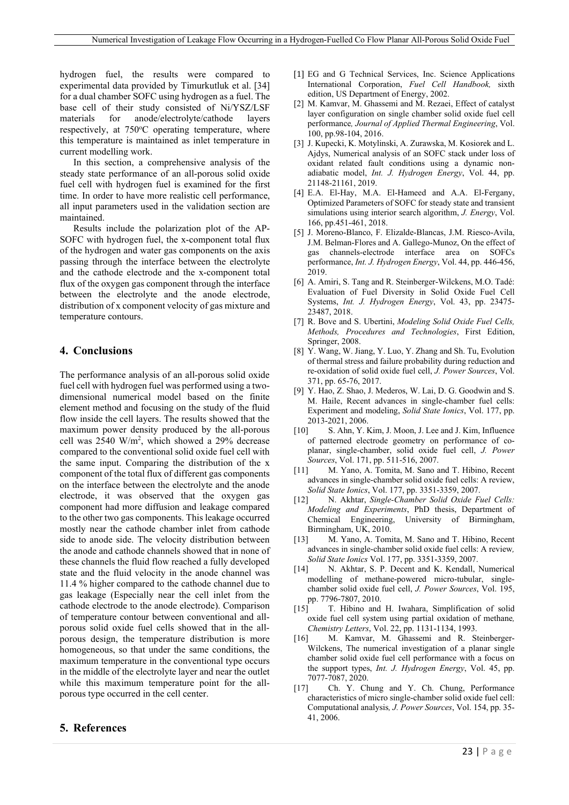hydrogen fuel, the results were compared to experimental data provided by Timurkutluk et al. [34] for a dual chamber SOFC using hydrogen as a fuel. The base cell of their study consisted of Ni/YSZ/LSF materials for anode/electrolyte/cathode layers respectively, at 750°C operating temperature, where this temperature is maintained as inlet temperature in current modelling work.

In this section, a comprehensive analysis of the steady state performance of an all-porous solid oxide fuel cell with hydrogen fuel is examined for the first time. In order to have more realistic cell performance, all input parameters used in the validation section are maintained.

Results include the polarization plot of the AP-SOFC with hydrogen fuel, the x-component total flux of the hydrogen and water gas components on the axis passing through the interface between the electrolyte and the cathode electrode and the x-component total flux of the oxygen gas component through the interface between the electrolyte and the anode electrode, distribution of x component velocity of gas mixture and temperature contours.

## **4. Conclusions**

The performance analysis of an all-porous solid oxide fuel cell with hydrogen fuel was performed using a twodimensional numerical model based on the finite element method and focusing on the study of the fluid flow inside the cell layers. The results showed that the maximum power density produced by the all-porous cell was  $2540 \text{ W/m}^2$ , which showed a 29% decrease compared to the conventional solid oxide fuel cell with the same input. Comparing the distribution of the x component of the total flux of different gas components on the interface between the electrolyte and the anode electrode, it was observed that the oxygen gas component had more diffusion and leakage compared to the other two gas components. This leakage occurred mostly near the cathode chamber inlet from cathode side to anode side. The velocity distribution between the anode and cathode channels showed that in none of these channels the fluid flow reached a fully developed state and the fluid velocity in the anode channel was 11.4 % higher compared to the cathode channel due to gas leakage (Especially near the cell inlet from the cathode electrode to the anode electrode). Comparison of temperature contour between conventional and allporous solid oxide fuel cells showed that in the allporous design, the temperature distribution is more homogeneous, so that under the same conditions, the maximum temperature in the conventional type occurs in the middle of the electrolyte layer and near the outlet while this maximum temperature point for the allporous type occurred in the cell center.

### **5. References**

- [1] EG and G Technical Services, Inc. Science Applications International Corporation, *Fuel Cell Handbook,* sixth edition, US Department of Energy, 2002.
- [2] M. Kamvar, M. Ghassemi and M. Rezaei, Effect of catalyst layer configuration on single chamber solid oxide fuel cell performance*, Journal of Applied Thermal Engineering*, Vol. 100, pp.98-104, 2016.
- [3] J. Kupecki, K. Motylinski, A. Zurawska, M. Kosiorek and L. Ajdys, Numerical analysis of an SOFC stack under loss of oxidant related fault conditions using a dynamic nonadiabatic model, *Int. J. Hydrogen Energy*, Vol. 44, pp. 21148-21161, 2019.
- [4] E.A. El-Hay, M.A. El-Hameed and A.A. El-Fergany, Optimized Parameters of SOFC for steady state and transient simulations using interior search algorithm, *J. Energy*, Vol. 166, pp.451-461, 2018.
- [5] J. Moreno-Blanco, F. Elizalde-Blancas, J.M. Riesco-Avila, J.M. Belman-Flores and A. Gallego-Munoz, On the effect of channels-electrode interface area on SOFCs performance, *Int. J. Hydrogen Energy*, Vol. 44, pp. 446-456, 2019.
- [6] A. Amiri, S. Tang and R. Steinberger-Wilckens, M.O. Tadé: Evaluation of Fuel Diversity in Solid Oxide Fuel Cell Systems, *Int. J. Hydrogen Energy*, Vol. 43, pp. 23475- 23487, 2018.
- [7] R. Bove and S. Ubertini, *Modeling Solid Oxide Fuel Cells, Methods, Procedures and Technologies*, First Edition, Springer, 2008.
- [8] Y. Wang, W. Jiang, Y. Luo, Y. Zhang and Sh. Tu, Evolution of thermal stress and failure probability during reduction and re-oxidation of solid oxide fuel cell, *J. Power Sources*, Vol. 371, pp. 65-76, 2017.
- [9] Y. Hao, Z. Shao, J. Mederos, W. Lai, D. G. Goodwin and S. M. Haile, Recent advances in single-chamber fuel cells: Experiment and modeling, *Solid State Ionics*, Vol. 177, pp. 2013-2021, 2006.
- [10] S. Ahn, Y. Kim, J. Moon, J. Lee and J. Kim, Influence of patterned electrode geometry on performance of coplanar, single-chamber, solid oxide fuel cell, *J. Power Sources*, Vol. 171, pp. 511-516, 2007.
- [11] M. Yano, A. Tomita, M. Sano and T. Hibino, Recent advances in single-chamber solid oxide fuel cells: A review, *Solid State Ionics*, Vol. 177, pp. 3351-3359, 2007.
- [12] N. Akhtar, *Single-Chamber Solid Oxide Fuel Cells: Modeling and Experiments*, PhD thesis, Department of Chemical Engineering, University of Birmingham, Birmingham, UK, 2010.
- [13] M. Yano, A. Tomita, M. Sano and T. Hibino, Recent advances in single-chamber solid oxide fuel cells: A review*, Solid State Ionics* Vol. 177, pp. 3351-3359, 2007.
- [14] N. Akhtar, S. P. Decent and K. Kendall, Numerical modelling of methane-powered micro-tubular, singlechamber solid oxide fuel cell, *J. Power Sources*, Vol. 195, pp. 7796-7807, 2010.
- [15] T. Hibino and H. Iwahara, Simplification of solid oxide fuel cell system using partial oxidation of methane*, Chemistry Letters*, Vol. 22, pp. 1131-1134, 1993.
- [16] M. Kamvar, M. Ghassemi and R. Steinberger-Wilckens, The numerical investigation of a planar single chamber solid oxide fuel cell performance with a focus on the support types, *Int. J. Hydrogen Energy*, Vol. 45, pp. 7077-7087, 2020.
- [17] Ch. Y. Chung and Y. Ch. Chung, Performance characteristics of micro single-chamber solid oxide fuel cell: Computational analysis*, J. Power Sources*, Vol. 154, pp. 35- 41, 2006.